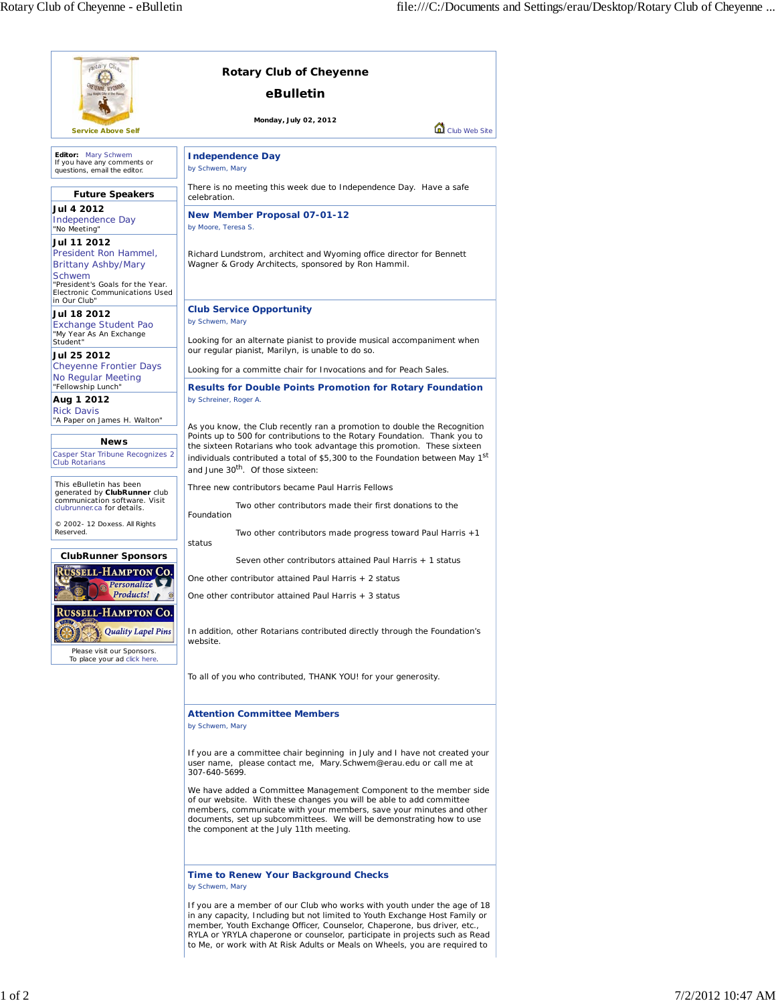| aptary Clus                                                                                                                                        | <b>Rotary Club of Cheyenne</b>                                                                                                                                                                                                                                                                                                                                                                 |
|----------------------------------------------------------------------------------------------------------------------------------------------------|------------------------------------------------------------------------------------------------------------------------------------------------------------------------------------------------------------------------------------------------------------------------------------------------------------------------------------------------------------------------------------------------|
|                                                                                                                                                    | eBulletin                                                                                                                                                                                                                                                                                                                                                                                      |
| <b>Service Above Self</b>                                                                                                                          | Monday, July 02, 2012<br>Club Web Site                                                                                                                                                                                                                                                                                                                                                         |
| Editor: Mary Schwem<br>If you have any comments or<br>questions, email the editor.                                                                 | <b>Independence Day</b><br>by Schwem, Mary                                                                                                                                                                                                                                                                                                                                                     |
| <b>Future Speakers</b>                                                                                                                             | There is no meeting this week due to Independence Day. Have a safe<br>celebration.                                                                                                                                                                                                                                                                                                             |
| Jul 4 2012<br>Independence Day<br>"No Meeting"                                                                                                     | <b>New Member Proposal 07-01-12</b><br>by Moore, Teresa S.                                                                                                                                                                                                                                                                                                                                     |
| Jul 11 2012<br>President Ron Hammel.<br><b>Brittany Ashby/Mary</b><br>Schwem<br>"President's Goals for the Year.<br>Electronic Communications Used | Richard Lundstrom, architect and Wyoming office director for Bennett<br>Wagner & Grody Architects, sponsored by Ron Hammil.                                                                                                                                                                                                                                                                    |
| in Our Club"<br>Jul 18 2012<br>Exchange Student Pao                                                                                                | <b>Club Service Opportunity</b><br>by Schwem, Mary                                                                                                                                                                                                                                                                                                                                             |
| "My Year As An Exchange<br>Student"                                                                                                                | Looking for an alternate pianist to provide musical accompaniment when<br>our regular pianist, Marilyn, is unable to do so.                                                                                                                                                                                                                                                                    |
| Jul 25 2012<br><b>Cheyenne Frontier Days</b>                                                                                                       | Looking for a committe chair for Invocations and for Peach Sales.                                                                                                                                                                                                                                                                                                                              |
| No Regular Meeting<br>"Fellowship Lunch"<br>Aug 1 2012                                                                                             | <b>Results for Double Points Promotion for Rotary Foundation</b><br>by Schreiner, Roger A.                                                                                                                                                                                                                                                                                                     |
| <b>Rick Davis</b><br>"A Paper on James H. Walton"<br><b>News</b><br>Casper Star Tribune Recognizes 2<br><b>Club Rotarians</b>                      | As you know, the Club recently ran a promotion to double the Recognition<br>Points up to 500 for contributions to the Rotary Foundation. Thank you to<br>the sixteen Rotarians who took advantage this promotion. These sixteen<br>individuals contributed a total of \$5,300 to the Foundation between May 1 <sup>st</sup><br>and June 30 <sup>th</sup> . Of those sixteen:                   |
| This eBulletin has been<br>generated by ClubRunner club                                                                                            | Three new contributors became Paul Harris Fellows                                                                                                                                                                                                                                                                                                                                              |
| communication software. Visit<br>clubrunner.ca for details.                                                                                        | Two other contributors made their first donations to the<br>Foundation                                                                                                                                                                                                                                                                                                                         |
| © 2002- 12 Doxess. All Rights<br>Reserved.                                                                                                         | Two other contributors made progress toward Paul Harris +1<br>status                                                                                                                                                                                                                                                                                                                           |
| <b>ClubRunner Sponsors</b>                                                                                                                         | Seven other contributors attained Paul Harris + 1 status                                                                                                                                                                                                                                                                                                                                       |
| <b>JSSELL-HAMPTON CO.</b><br>Personalize                                                                                                           | One other contributor attained Paul Harris + 2 status                                                                                                                                                                                                                                                                                                                                          |
| Products!<br><b>RUSSELL-HAMPTON CO.</b>                                                                                                            | One other contributor attained Paul Harris + 3 status                                                                                                                                                                                                                                                                                                                                          |
| <b>Quality Lapel Pins</b><br>Please visit our Sponsors.<br>To place your ad click here.                                                            | In addition, other Rotarians contributed directly through the Foundation's<br>website.                                                                                                                                                                                                                                                                                                         |
|                                                                                                                                                    | To all of you who contributed, THANK YOU! for your generosity.                                                                                                                                                                                                                                                                                                                                 |
|                                                                                                                                                    | <b>Attention Committee Members</b><br>by Schwem, Mary                                                                                                                                                                                                                                                                                                                                          |
|                                                                                                                                                    | If you are a committee chair beginning in July and I have not created your<br>user name, please contact me, Mary. Schwem@erau.edu or call me at<br>307-640-5699.                                                                                                                                                                                                                               |
|                                                                                                                                                    | We have added a Committee Management Component to the member side<br>of our website. With these changes you will be able to add committee<br>members, communicate with your members, save your minutes and other<br>documents, set up subcommittees. We will be demonstrating how to use<br>the component at the July 11th meeting.                                                            |
|                                                                                                                                                    | <b>Time to Renew Your Background Checks</b><br>by Schwem, Mary                                                                                                                                                                                                                                                                                                                                 |
|                                                                                                                                                    | If you are a member of our Club who works with youth under the age of 18<br>in any capacity, Including but not limited to Youth Exchange Host Family or<br>member, Youth Exchange Officer, Counselor, Chaperone, bus driver, etc.,<br>RYLA or YRYLA chaperone or counselor, participate in projects such as Read<br>to Me, or work with At Risk Adults or Meals on Wheels, you are required to |